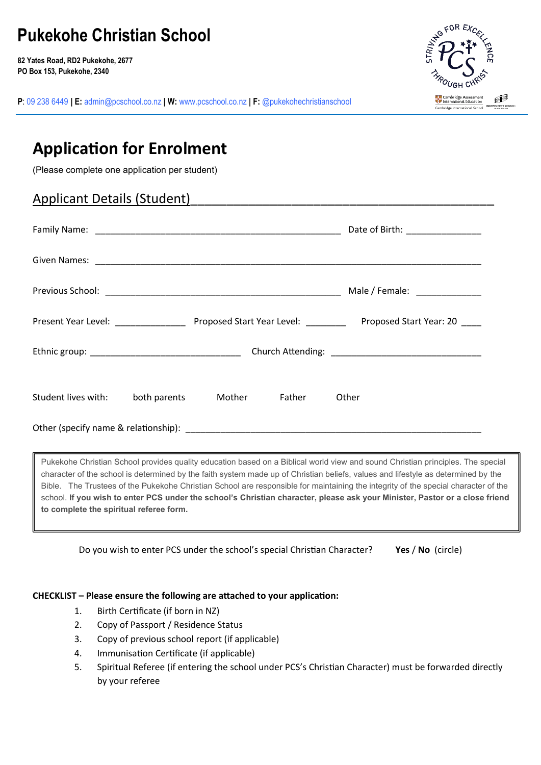# **Pukekohe Christian School**

**82 Yates Road, RD2 Pukekohe, 2677 PO Box 153, Pukekohe, 2340**



**P**: 09 238 6449 **| E:** [admin@pcschool.co.nz](mailto:admin@pcschool.co.nz) **| W:** [www.pcschool.co.nz](http://www.pcschool.co.nz/) **| F:** [@pukekohechristianschool](http://facebook.com/pukekohechristianschool/)

# **Application for Enrolment**

(Please complete one application per student)

# Applicant Details (Student)

|                     |              |        |        | Date of Birth: ________________ |
|---------------------|--------------|--------|--------|---------------------------------|
|                     |              |        |        |                                 |
|                     |              |        |        | Male / Female: ______________   |
|                     |              |        |        |                                 |
|                     |              |        |        |                                 |
| Student lives with: | both parents | Mother | Father | Other                           |
|                     |              |        |        |                                 |

Pukekohe Christian School provides quality education based on a Biblical world view and sound Christian principles. The special character of the school is determined by the faith system made up of Christian beliefs, values and lifestyle as determined by the Bible. The Trustees of the Pukekohe Christian School are responsible for maintaining the integrity of the special character of the school. **If you wish to enter PCS under the school's Christian character, please ask your Minister, Pastor or a close friend to complete the spiritual referee form.**

Do you wish to enter PCS under the school's special Christian Character? **Yes** / **No** (circle)

### **CHECKLIST – Please ensure the following are attached to your application:**

- 1. Birth Certificate (if born in NZ)
- 2. Copy of Passport / Residence Status
- 3. Copy of previous school report (if applicable)
- 4. Immunisation Certificate (if applicable)
- 5. Spiritual Referee (if entering the school under PCS's Christian Character) must be forwarded directly by your referee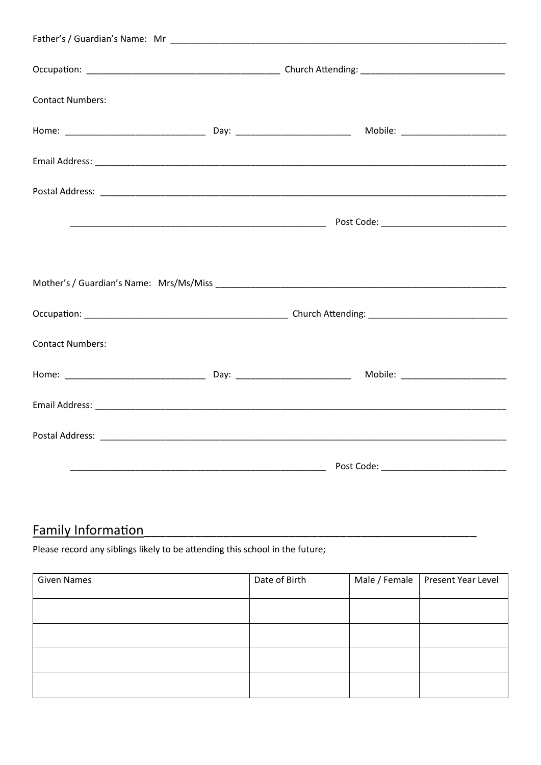| <b>Contact Numbers:</b> |  |  |
|-------------------------|--|--|
|                         |  |  |
|                         |  |  |
|                         |  |  |
|                         |  |  |
|                         |  |  |
|                         |  |  |
|                         |  |  |
| <b>Contact Numbers:</b> |  |  |
|                         |  |  |
|                         |  |  |
|                         |  |  |
|                         |  |  |
|                         |  |  |

# **Family Information**

Please record any siblings likely to be attending this school in the future;

| <b>Given Names</b> | Date of Birth | Male / Female   Present Year Level |
|--------------------|---------------|------------------------------------|
|                    |               |                                    |
|                    |               |                                    |
|                    |               |                                    |
|                    |               |                                    |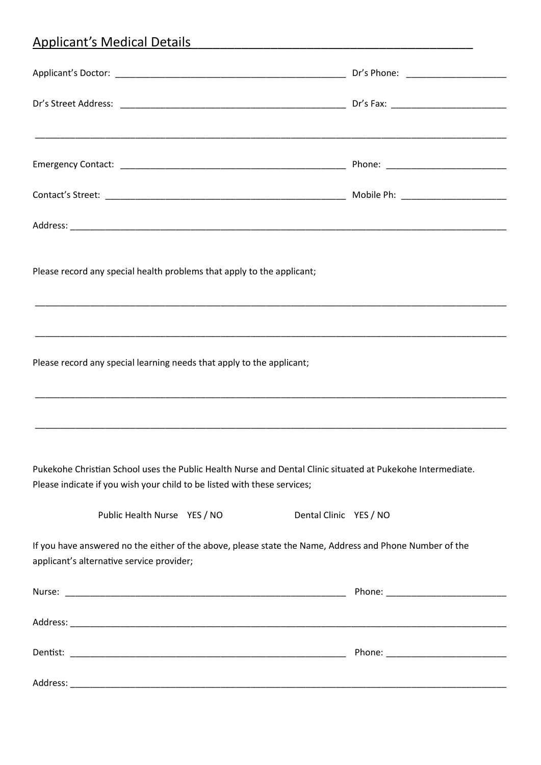# Applicant's Medical Details\_\_\_\_\_\_\_\_\_\_\_\_\_\_\_\_\_\_\_\_\_\_\_\_\_\_\_\_\_\_\_\_\_\_\_\_\_\_\_

| Please record any special health problems that apply to the applicant;   |                                                                                                             |
|--------------------------------------------------------------------------|-------------------------------------------------------------------------------------------------------------|
|                                                                          |                                                                                                             |
| Please record any special learning needs that apply to the applicant;    |                                                                                                             |
|                                                                          |                                                                                                             |
| Please indicate if you wish your child to be listed with these services; | Pukekohe Christian School uses the Public Health Nurse and Dental Clinic situated at Pukekohe Intermediate. |
| Public Health Nurse YES / NO                                             | Dental Clinic YES / NO                                                                                      |
| applicant's alternative service provider;                                | If you have answered no the either of the above, please state the Name, Address and Phone Number of the     |
|                                                                          |                                                                                                             |
|                                                                          |                                                                                                             |
|                                                                          |                                                                                                             |
|                                                                          |                                                                                                             |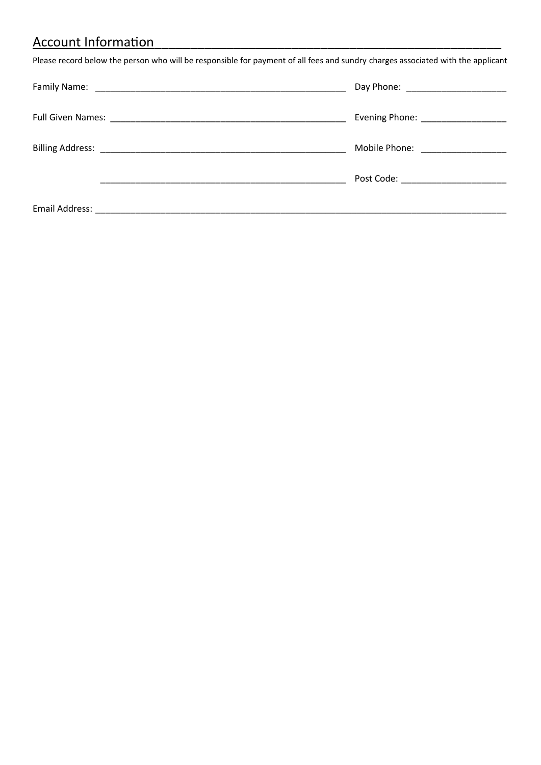# Account Information

Please record below the person who will be responsible for payment of all fees and sundry charges associated with the applicant

| Evening Phone: ___________________  |
|-------------------------------------|
| Mobile Phone: ____________________  |
| Post Code: ________________________ |
|                                     |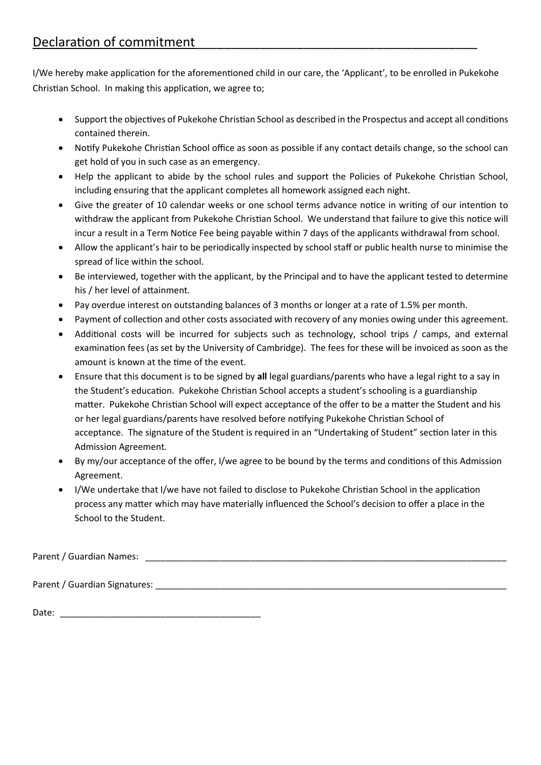I/We hereby make application for the aforementioned child in our care, the 'Applicant', to be enrolled in Pukekohe Christian School. In making this application, we agree to;

- Support the objectives of Pukekohe Christian School as described in the Prospectus and accept all conditions contained therein.
- Notify Pukekohe Christian School office as soon as possible if any contact details change, so the school can get hold of you in such case as an emergency.
- Help the applicant to abide by the school rules and support the Policies of Pukekohe Christian School, including ensuring that the applicant completes all homework assigned each night.
- Give the greater of 10 calendar weeks or one school terms advance notice in writing of our intention to withdraw the applicant from Pukekohe Christian School. We understand that failure to give this notice will incur a result in a Term Notice Fee being payable within 7 days of the applicants withdrawal from school.
- Allow the applicant's hair to be periodically inspected by school staff or public health nurse to minimise the spread of lice within the school.
- Be interviewed, together with the applicant, by the Principal and to have the applicant tested to determine his / her level of attainment.
- Pay overdue interest on outstanding balances of 3 months or longer at a rate of 1.5% per month.
- Payment of collection and other costs associated with recovery of any monies owing under this agreement.
- Additional costs will be incurred for subjects such as technology, school trips / camps, and external examination fees (as set by the University of Cambridge). The fees for these will be invoiced as soon as the amount is known at the time of the event.
- Ensure that this document is to be signed by **all** legal guardians/parents who have a legal right to a say in the Student's education. Pukekohe Christian School accepts a student's schooling is a guardianship matter. Pukekohe Christian School will expect acceptance of the offer to be a matter the Student and his or her legal guardians/parents have resolved before notifying Pukekohe Christian School of acceptance. The signature of the Student is required in an "Undertaking of Student" section later in this Admission Agreement*.*
- By my/our acceptance of the offer, I/we agree to be bound by the terms and conditions of this Admission Agreement.
- I/We undertake that I/we have not failed to disclose to Pukekohe Christian School in the application process any matter which may have materially influenced the School's decision to offer a place in the School to the Student.

Parent / Guardian Names: **Example 2018** 

Parent / Guardian Signatures: \_\_\_\_\_\_\_\_\_\_\_\_\_\_\_\_\_\_\_\_\_\_\_\_\_\_\_\_\_\_\_\_\_\_\_\_\_\_\_\_\_\_\_\_\_\_\_\_\_\_\_\_\_\_\_\_\_\_\_\_\_\_\_\_\_\_\_\_\_\_

Date:  $\Box$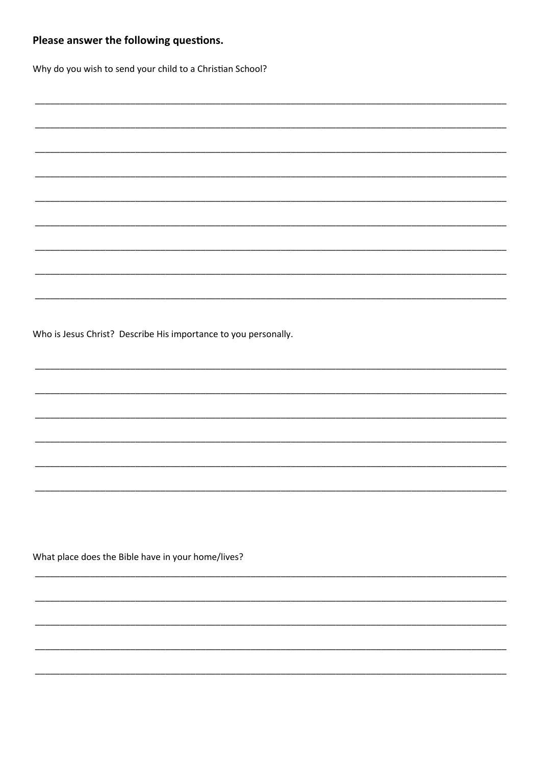# Please answer the following questions. Why do you wish to send your child to a Christian School? Who is Jesus Christ? Describe His importance to you personally. What place does the Bible have in your home/lives?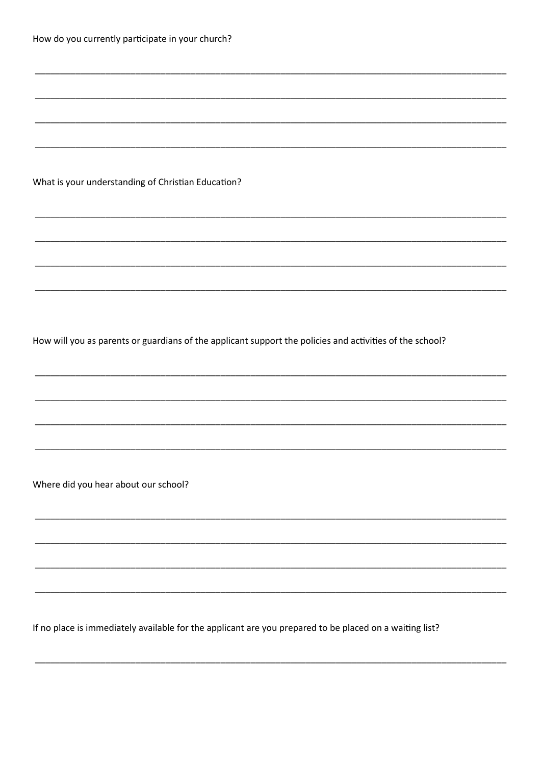|  |  |  | How do you currently participate in your church? |  |  |
|--|--|--|--------------------------------------------------|--|--|
|--|--|--|--------------------------------------------------|--|--|

## What is your understanding of Christian Education?

How will you as parents or guardians of the applicant support the policies and activities of the school?

Where did you hear about our school?

If no place is immediately available for the applicant are you prepared to be placed on a waiting list?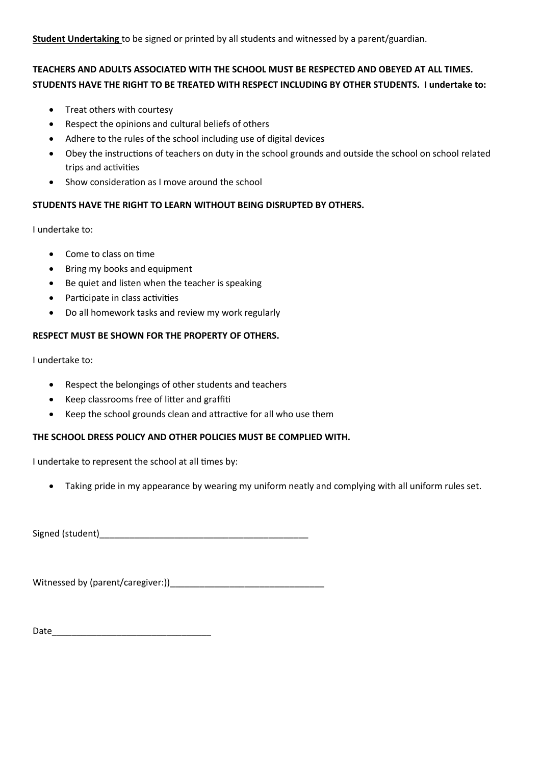**Student Undertaking** to be signed or printed by all students and witnessed by a parent/guardian.

## **TEACHERS AND ADULTS ASSOCIATED WITH THE SCHOOL MUST BE RESPECTED AND OBEYED AT ALL TIMES. STUDENTS HAVE THE RIGHT TO BE TREATED WITH RESPECT INCLUDING BY OTHER STUDENTS. I undertake to:**

- Treat others with courtesy
- Respect the opinions and cultural beliefs of others
- Adhere to the rules of the school including use of digital devices
- Obey the instructions of teachers on duty in the school grounds and outside the school on school related trips and activities
- Show consideration as I move around the school

## **STUDENTS HAVE THE RIGHT TO LEARN WITHOUT BEING DISRUPTED BY OTHERS.**

I undertake to:

- Come to class on time
- Bring my books and equipment
- Be quiet and listen when the teacher is speaking
- Participate in class activities
- Do all homework tasks and review my work regularly

## **RESPECT MUST BE SHOWN FOR THE PROPERTY OF OTHERS.**

I undertake to:

- Respect the belongings of other students and teachers
- Keep classrooms free of litter and graffiti
- Keep the school grounds clean and attractive for all who use them

## **THE SCHOOL DRESS POLICY AND OTHER POLICIES MUST BE COMPLIED WITH.**

I undertake to represent the school at all times by:

• Taking pride in my appearance by wearing my uniform neatly and complying with all uniform rules set.

Signed (student)

Witnessed by (parent/caregiver:))

Date\_\_\_\_\_\_\_\_\_\_\_\_\_\_\_\_\_\_\_\_\_\_\_\_\_\_\_\_\_\_\_\_